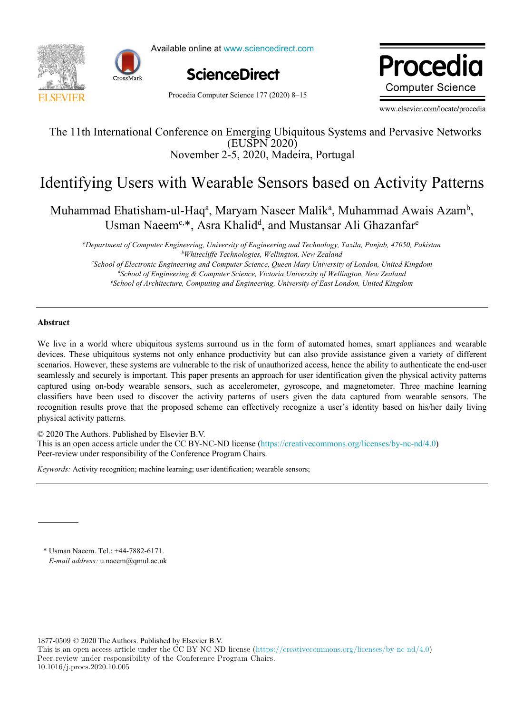



Available online at www.sciencedirect.com



Procedia Computer Science 177 (2020) 8–15

 $P_{\text{max}}$ ww.edic **Computer Science** 

www.elsevier.com/locate/procedia

# The 11th International Conference on Emerging Ubiquitous Systems and Pervasive Networks (EUSPN 2020) November 2-5, 2020, Madeira, Portugal

# Identify  $U$  Users  $U$  Users based on Activity Patterns based on Activity Patterns based on Activity Patterns based on  $U$ Identifying Users with Wearable Sensors based on Activity Patterns

Muhammad Ehatisham-ul-Haq<sup>a</sup> , Maryam Naseer Malik<sup>a</sup> , Muhammad Awais Azam<sup>b</sup> , Muhammad Ehatisham-ul-Haq<sup>a</sup>, Maryam Naseer Malik<sup>a</sup>, Muhammad Awais Azam<sup>b</sup>, *Department of Computer Engineering, University of Engineering and Technology, Taxila, Punjab, 47050, Pakistan* Usman Naeem<sup>c,\*</sup>, Asra Khalid<sup>d</sup>, and Mustansar Ali Ghazanfar<sup>e</sup>

*b Whitecliffe Technologies, Wellington, New Zealand a Department of Computer Engineering, University of Engineering and Technology, Taxila, Punjab, 47050, Pakistan School of Electronic Engineering and Computer Science, Queen Mary University of London, United Kingdom b Whitecliffe Technologies, Wellington, New Zealand*

School of Electronic Engineering and Computer Science, Queen Mary University of London, United Kingdom <sup>d</sup>School of Engineering & Computer Science, Victoria University of Wellington, New Zealand *e School of Architecture, Computing and Engineering, University of East London, United Kingdom*

# **Abstract Abstract**

We live in a world where ubiquitous systems surround us in the form of automated homes, smart appliances and wearable We live in a world where ubiquitous systems surround us in the form of automated homes, smart appliances and wearable<br>devices. These ubiquitous systems not only enhance productivity but can also provide assistance given a scenarios. However, these systems are vulnerable to the risk of unauthorized access, hence the ability to authenticate the end-user seamlessly and securely is important. This paper presents an approach for user identification given the physical activity patterns captured using on-body wearable sensors, such as accelerometer, gyroscope, and magnetometer. Three machine learning classifiers have been used to discover the activity patterns of users given the data captured from wearable sensors. The classifiers have been used to discover the activity patterns of users given the data captured from wearable sensors. The<br>recognition results prove that the proposed scheme can effectively recognize a user's identity based physical activity patterns.

© 2020 The Authors. Published by Elsevier B.V. © 2020 The Authors. Published by Elsevier B.V.

C 2020 The Authors. Published by Elsevier B.V.<br>This is an open access article under the CC BY-NC-ND license (https://creativecommons.org/licenses/by-nc-nd/4.0) Peer-review under responsibility of the Conference Program Chairs. Peer-review under responsibility of the Conference Program Chairs.

*Keywords:* Activity recognition; machine learning; user identification; wearable sensors; *Keywords:* Activity recognition; machine learning; user identification; wearable sensors;

\* Usman Naeem. Tel.: +44-7882-6171. E-mail address: u.naeem@qmul.ac.uk

1877-0509 © 2020 The Authors. Published by Elsevier B.V.

This is an open access article under the CC BY-NC-ND license (https://creativecommons.org/licenses/by-nc-nd/4.0) Peer-review under responsibility of the Conference Program Chairs. 10.1016/j.procs.2020.10.005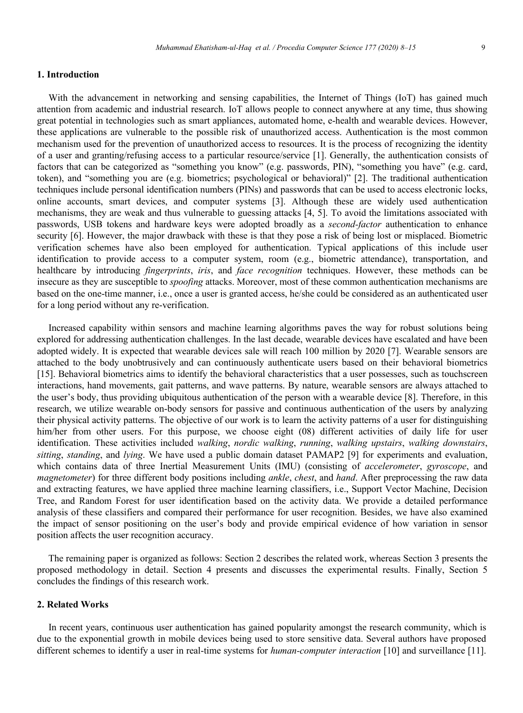# **1. Introduction**

With the advancement in networking and sensing capabilities, the Internet of Things (IoT) has gained much attention from academic and industrial research. IoT allows people to connect anywhere at any time, thus showing great potential in technologies such as smart appliances, automated home, e-health and wearable devices. However, these applications are vulnerable to the possible risk of unauthorized access. Authentication is the most common mechanism used for the prevention of unauthorized access to resources. It is the process of recognizing the identity of a user and granting/refusing access to a particular resource/service [1]. Generally, the authentication consists of factors that can be categorized as "something you know" (e.g. passwords, PIN), "something you have" (e.g. card, token), and "something you are (e.g. biometrics; psychological or behavioral)" [2]. The traditional authentication techniques include personal identification numbers (PINs) and passwords that can be used to access electronic locks, online accounts, smart devices, and computer systems [3]. Although these are widely used authentication mechanisms, they are weak and thus vulnerable to guessing attacks [4, 5]. To avoid the limitations associated with passwords, USB tokens and hardware keys were adopted broadly as a *second-factor* authentication to enhance security [6]. However, the major drawback with these is that they pose a risk of being lost or misplaced. Biometric verification schemes have also been employed for authentication. Typical applications of this include user identification to provide access to a computer system, room (e.g., biometric attendance), transportation, and healthcare by introducing *fingerprints*, *iris*, and *face recognition* techniques. However, these methods can be insecure as they are susceptible to *spoofing* attacks. Moreover, most of these common authentication mechanisms are based on the one-time manner, i.e., once a user is granted access, he/she could be considered as an authenticated user for a long period without any re-verification.

Increased capability within sensors and machine learning algorithms paves the way for robust solutions being explored for addressing authentication challenges. In the last decade, wearable devices have escalated and have been adopted widely. It is expected that wearable devices sale will reach 100 million by 2020 [7]. Wearable sensors are attached to the body unobtrusively and can continuously authenticate users based on their behavioral biometrics [15]. Behavioral biometrics aims to identify the behavioral characteristics that a user possesses, such as touchscreen interactions, hand movements, gait patterns, and wave patterns. By nature, wearable sensors are always attached to the user's body, thus providing ubiquitous authentication of the person with a wearable device [8]. Therefore, in this research, we utilize wearable on-body sensors for passive and continuous authentication of the users by analyzing their physical activity patterns. The objective of our work is to learn the activity patterns of a user for distinguishing him/her from other users. For this purpose, we choose eight (08) different activities of daily life for user identification. These activities included *walking*, *nordic walking*, *running*, *walking upstairs*, *walking downstairs*, *sitting*, *standing*, and *lying*. We have used a public domain dataset PAMAP2 [9] for experiments and evaluation, which contains data of three Inertial Measurement Units (IMU) (consisting of *accelerometer*, *gyroscope*, and *magnetometer*) for three different body positions including *ankle*, *chest*, and *hand*. After preprocessing the raw data and extracting features, we have applied three machine learning classifiers, i.e., Support Vector Machine, Decision Tree, and Random Forest for user identification based on the activity data. We provide a detailed performance analysis of these classifiers and compared their performance for user recognition. Besides, we have also examined the impact of sensor positioning on the user's body and provide empirical evidence of how variation in sensor position affects the user recognition accuracy.

The remaining paper is organized as follows: Section 2 describes the related work, whereas Section 3 presents the proposed methodology in detail. Section 4 presents and discusses the experimental results. Finally, Section 5 concludes the findings of this research work.

# **2. Related Works**

In recent years, continuous user authentication has gained popularity amongst the research community, which is due to the exponential growth in mobile devices being used to store sensitive data. Several authors have proposed different schemes to identify a user in real-time systems for *human-computer interaction* [10] and surveillance [11].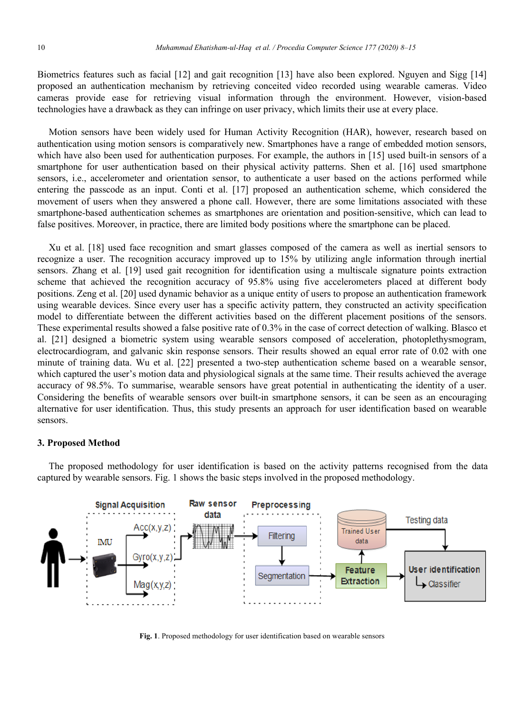Biometrics features such as facial [12] and gait recognition [13] have also been explored. Nguyen and Sigg [14] proposed an authentication mechanism by retrieving conceited video recorded using wearable cameras. Video cameras provide ease for retrieving visual information through the environment. However, vision-based technologies have a drawback as they can infringe on user privacy, which limits their use at every place.

Motion sensors have been widely used for Human Activity Recognition (HAR), however, research based on authentication using motion sensors is comparatively new. Smartphones have a range of embedded motion sensors, which have also been used for authentication purposes. For example, the authors in [15] used built-in sensors of a smartphone for user authentication based on their physical activity patterns. Shen et al. [16] used smartphone sensors, i.e., accelerometer and orientation sensor, to authenticate a user based on the actions performed while entering the passcode as an input. Conti et al. [17] proposed an authentication scheme, which considered the movement of users when they answered a phone call. However, there are some limitations associated with these smartphone-based authentication schemes as smartphones are orientation and position-sensitive, which can lead to false positives. Moreover, in practice, there are limited body positions where the smartphone can be placed.

Xu et al. [18] used face recognition and smart glasses composed of the camera as well as inertial sensors to recognize a user. The recognition accuracy improved up to 15% by utilizing angle information through inertial sensors. Zhang et al. [19] used gait recognition for identification using a multiscale signature points extraction scheme that achieved the recognition accuracy of 95.8% using five accelerometers placed at different body positions. Zeng et al. [20] used dynamic behavior as a unique entity of users to propose an authentication framework using wearable devices. Since every user has a specific activity pattern, they constructed an activity specification model to differentiate between the different activities based on the different placement positions of the sensors. These experimental results showed a false positive rate of 0.3% in the case of correct detection of walking. Blasco et al. [21] designed a biometric system using wearable sensors composed of acceleration, photoplethysmogram, electrocardiogram, and galvanic skin response sensors. Their results showed an equal error rate of 0.02 with one minute of training data. Wu et al. [22] presented a two-step authentication scheme based on a wearable sensor, which captured the user's motion data and physiological signals at the same time. Their results achieved the average accuracy of 98.5%. To summarise, wearable sensors have great potential in authenticating the identity of a user. Considering the benefits of wearable sensors over built-in smartphone sensors, it can be seen as an encouraging alternative for user identification. Thus, this study presents an approach for user identification based on wearable sensors.

# **3. Proposed Method**

The proposed methodology for user identification is based on the activity patterns recognised from the data captured by wearable sensors. Fig. 1 shows the basic steps involved in the proposed methodology.



**Fig. 1**. Proposed methodology for user identification based on wearable sensors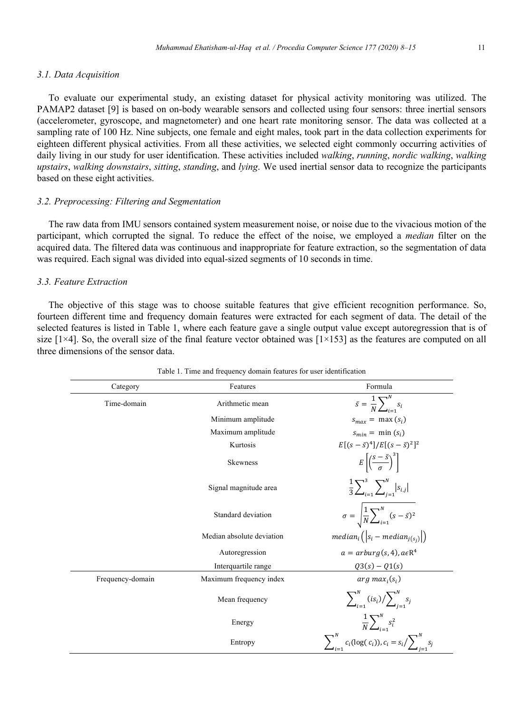#### *3.1. Data Acquisition*

To evaluate our experimental study, an existing dataset for physical activity monitoring was utilized. The PAMAP2 dataset [9] is based on on-body wearable sensors and collected using four sensors: three inertial sensors (accelerometer, gyroscope, and magnetometer) and one heart rate monitoring sensor. The data was collected at a sampling rate of 100 Hz. Nine subjects, one female and eight males, took part in the data collection experiments for eighteen different physical activities. From all these activities, we selected eight commonly occurring activities of daily living in our study for user identification. These activities included *walking*, *running*, *nordic walking*, *walking upstairs*, *walking downstairs*, *sitting*, *standing*, and *lying*. We used inertial sensor data to recognize the participants based on these eight activities.

#### *3.2. Preprocessing: Filtering and Segmentation*

The raw data from IMU sensors contained system measurement noise, or noise due to the vivacious motion of the participant, which corrupted the signal. To reduce the effect of the noise, we employed a *median* filter on the acquired data. The filtered data was continuous and inappropriate for feature extraction, so the segmentation of data was required. Each signal was divided into equal-sized segments of 10 seconds in time.

# *3.3. Feature Extraction*

The objective of this stage was to choose suitable features that give efficient recognition performance. So, fourteen different time and frequency domain features were extracted for each segment of data. The detail of the selected features is listed in Table 1, where each feature gave a single output value except autoregression that is of size  $[1\times4]$ . So, the overall size of the final feature vector obtained was  $[1\times153]$  as the features are computed on all three dimensions of the sensor data.

| Category         | Features                  | Formula                                                      |
|------------------|---------------------------|--------------------------------------------------------------|
| Time-domain      | Arithmetic mean           | $\bar{s} = \frac{1}{N} \sum_{i=1}^{N} s_i$                   |
|                  | Minimum amplitude         | $s_{max} = \max(s_i)$                                        |
|                  | Maximum amplitude         | $s_{min} = \min(s_i)$                                        |
|                  | Kurtosis                  | $E[(s-\bar{s})^4]/E[(s-\bar{s})^2]^2$                        |
|                  | Skewness                  | $E\left[\left(\frac{s-\bar{s}}{\sigma}\right)^3\right]$      |
|                  | Signal magnitude area     | $\frac{1}{3}\sum_{i=1}^{3}\sum_{j=1}^{N} s_{i,j} $           |
|                  | Standard deviation        | $\sigma = \sqrt{\frac{1}{N} \sum_{i=1}^{N} (s - \bar{s})^2}$ |
|                  | Median absolute deviation | $median_i( s_i - median_{i(s_i)} )$                          |
|                  | Autoregression            | $a = arburg(s, 4), a \in \mathbb{R}^4$                       |
|                  | Interquartile range       | $Q3(s) - Q1(s)$                                              |
| Frequency-domain | Maximum frequency index   | $arg max_i(s_i)$                                             |
|                  | Mean frequency            | $\sum_{i=1}^{N} (is_i) / \sum_{j=1}^{N} s_j$                 |
|                  | Energy                    | $\frac{1}{N}\sum_{i=1}^N s_i^2$                              |
|                  | Entropy                   | $\sum_{i}^{N} c_i(\log(c_i)), c_i = s_i / \sum_{i}^{N} s_i$  |

|  |  |  | Table 1. Time and frequency domain features for user identification |
|--|--|--|---------------------------------------------------------------------|
|  |  |  |                                                                     |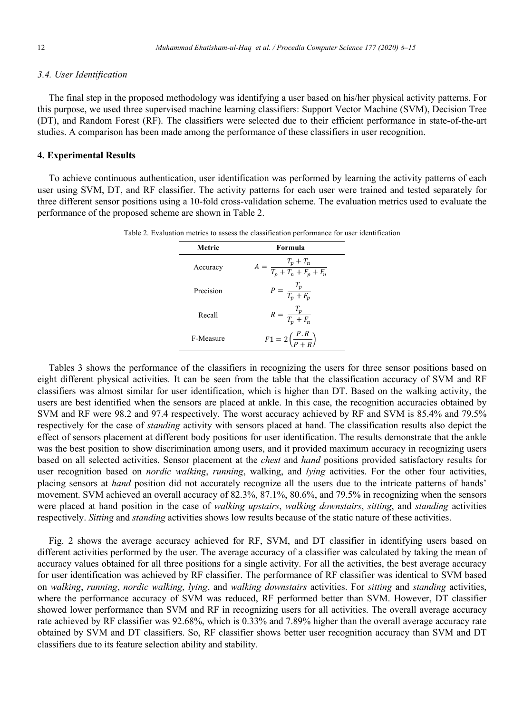# *3.4. User Identification*

The final step in the proposed methodology was identifying a user based on his/her physical activity patterns. For this purpose, we used three supervised machine learning classifiers: Support Vector Machine (SVM), Decision Tree (DT), and Random Forest (RF). The classifiers were selected due to their efficient performance in state-of-the-art studies. A comparison has been made among the performance of these classifiers in user recognition.

## **4. Experimental Results**

To achieve continuous authentication, user identification was performed by learning the activity patterns of each user using SVM, DT, and RF classifier. The activity patterns for each user were trained and tested separately for three different sensor positions using a 10-fold cross-validation scheme. The evaluation metrics used to evaluate the performance of the proposed scheme are shown in Table 2.

| Metric    | Formula                                       |
|-----------|-----------------------------------------------|
| Accuracy  | $A = \frac{T_p + T_n}{T_p + T_n + F_p + F_n}$ |
| Precision | $P = \frac{T_p}{T_p + F_p}$                   |
| Recall    | $R = \frac{T_p}{T_p + F_n}$                   |
| F-Measure | $F1 = 2\left(\frac{P.R}{P+R}\right)$          |

Table 2. Evaluation metrics to assess the classification performance for user identification

Tables 3 shows the performance of the classifiers in recognizing the users for three sensor positions based on eight different physical activities. It can be seen from the table that the classification accuracy of SVM and RF classifiers was almost similar for user identification, which is higher than DT. Based on the walking activity, the users are best identified when the sensors are placed at ankle. In this case, the recognition accuracies obtained by SVM and RF were 98.2 and 97.4 respectively. The worst accuracy achieved by RF and SVM is 85.4% and 79.5% respectively for the case of *standing* activity with sensors placed at hand. The classification results also depict the effect of sensors placement at different body positions for user identification. The results demonstrate that the ankle was the best position to show discrimination among users, and it provided maximum accuracy in recognizing users based on all selected activities. Sensor placement at the *chest* and *hand* positions provided satisfactory results for user recognition based on *nordic walking*, *running*, walking, and *lying* activities. For the other four activities, placing sensors at *hand* position did not accurately recognize all the users due to the intricate patterns of hands' movement. SVM achieved an overall accuracy of 82.3%, 87.1%, 80.6%, and 79.5% in recognizing when the sensors were placed at hand position in the case of *walking upstairs*, *walking downstairs*, *sitting*, and *standing* activities respectively. *Sitting* and *standing* activities shows low results because of the static nature of these activities.

Fig. 2 shows the average accuracy achieved for RF, SVM, and DT classifier in identifying users based on different activities performed by the user. The average accuracy of a classifier was calculated by taking the mean of accuracy values obtained for all three positions for a single activity. For all the activities, the best average accuracy for user identification was achieved by RF classifier. The performance of RF classifier was identical to SVM based on *walking*, *running*, *nordic walking*, *lying*, and *walking downstairs* activities. For *sitting* and *standing* activities, where the performance accuracy of SVM was reduced, RF performed better than SVM. However, DT classifier showed lower performance than SVM and RF in recognizing users for all activities. The overall average accuracy rate achieved by RF classifier was 92.68%, which is 0.33% and 7.89% higher than the overall average accuracy rate obtained by SVM and DT classifiers. So, RF classifier shows better user recognition accuracy than SVM and DT classifiers due to its feature selection ability and stability.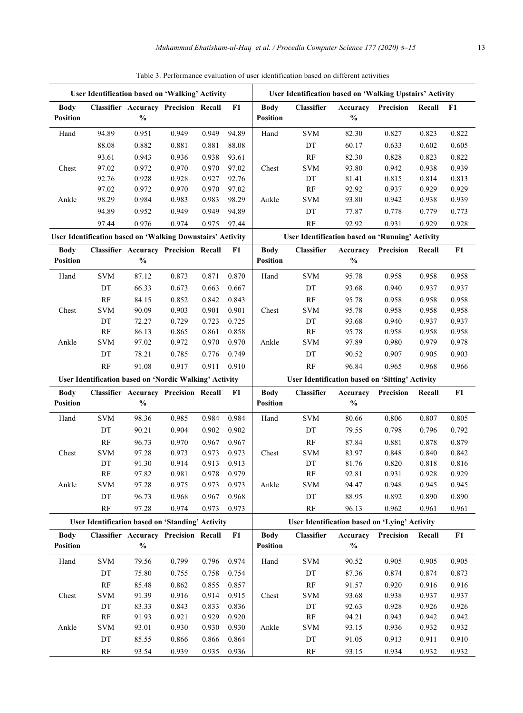| User Identification based on 'Walking' Activity        |                                                            |                                             |                |                | User Identification based on 'Walking Upstairs' Activity |             |                                                 |               |           |        |       |
|--------------------------------------------------------|------------------------------------------------------------|---------------------------------------------|----------------|----------------|----------------------------------------------------------|-------------|-------------------------------------------------|---------------|-----------|--------|-------|
| <b>Body</b>                                            |                                                            | <b>Classifier Accuracy Precision Recall</b> |                |                | F1                                                       | Body        | Classifier                                      | Accuracy      | Precision | Recall | F1    |
| <b>Position</b>                                        |                                                            | $\frac{0}{0}$                               |                |                |                                                          | Position    |                                                 | $\frac{0}{0}$ |           |        |       |
| Hand                                                   | 94.89                                                      | 0.951                                       | 0.949          | 0.949          | 94.89                                                    | Hand        | <b>SVM</b>                                      | 82.30         | 0.827     | 0.823  | 0.822 |
|                                                        | 88.08                                                      | 0.882                                       | 0.881          | 0.881          | 88.08                                                    |             | $\mathop{\rm DT}\nolimits$                      | 60.17         | 0.633     | 0.602  | 0.605 |
|                                                        | 93.61                                                      | 0.943                                       | 0.936          | 0.938          | 93.61                                                    |             | $\mathbf{RF}$                                   | 82.30         | 0.828     | 0.823  | 0.822 |
| Chest                                                  | 97.02                                                      | 0.972                                       | 0.970          | 0.970          | 97.02                                                    | Chest       | <b>SVM</b>                                      | 93.80         | 0.942     | 0.938  | 0.939 |
|                                                        | 92.76                                                      | 0.928                                       | 0.928          | 0.927          | 92.76                                                    |             | $\mathop{\rm DT}\nolimits$                      | 81.41         | 0.815     | 0.814  | 0.813 |
|                                                        | 97.02                                                      | 0.972                                       | 0.970          | 0.970          | 97.02                                                    |             | RF                                              | 92.92         | 0.937     | 0.929  | 0.929 |
| Ankle                                                  | 98.29                                                      | 0.984                                       | 0.983          | 0.983          | 98.29                                                    | Ankle       | SVM                                             | 93.80         | 0.942     | 0.938  | 0.939 |
|                                                        | 94.89                                                      | 0.952                                       | 0.949          | 0.949          | 94.89                                                    |             | $\mathop{\rm DT}\nolimits$                      | 77.87         | 0.778     | 0.779  | 0.773 |
|                                                        | 97.44                                                      | 0.976                                       | 0.974          | 0.975          | 97.44                                                    |             | RF                                              | 92.92         | 0.931     | 0.929  | 0.928 |
|                                                        | User Identification based on 'Walking Downstairs' Activity |                                             |                |                |                                                          |             | User Identification based on 'Running' Activity |               |           |        |       |
| <b>Body</b>                                            |                                                            | <b>Classifier Accuracy Precision Recall</b> |                |                | F1                                                       | <b>Body</b> | Classifier                                      | Accuracy      | Precision | Recall | F1    |
| Position                                               |                                                            | $\frac{0}{0}$                               |                |                |                                                          | Position    |                                                 | $\frac{0}{0}$ |           |        |       |
| Hand                                                   | SVM                                                        | 87.12                                       | 0.873          | 0.871          | 0.870                                                    | Hand        | SVM                                             | 95.78         | 0.958     | 0.958  | 0.958 |
|                                                        | DT                                                         | 66.33                                       | 0.673          | 0.663          | 0.667                                                    |             | DT                                              | 93.68         | 0.940     | 0.937  | 0.937 |
|                                                        | RF                                                         | 84.15                                       | 0.852          | 0.842          | 0.843                                                    |             | RF                                              | 95.78         | 0.958     | 0.958  | 0.958 |
| Chest                                                  | <b>SVM</b>                                                 | 90.09                                       | 0.903          | 0.901          | 0.901                                                    | Chest       | SVM                                             | 95.78         | 0.958     | 0.958  | 0.958 |
|                                                        | DT                                                         | 72.27                                       | 0.729          | 0.723          | 0.725                                                    |             | $\mathop{\rm DT}\nolimits$                      | 93.68         | 0.940     | 0.937  | 0.937 |
|                                                        | RF                                                         | 86.13                                       | 0.865          | 0.861          | 0.858                                                    |             | RF                                              | 95.78         | 0.958     | 0.958  | 0.958 |
| Ankle                                                  | <b>SVM</b>                                                 | 97.02                                       | 0.972          | 0.970          | 0.970                                                    | Ankle       | SVM                                             | 97.89         | 0.980     | 0.979  | 0.978 |
|                                                        | DT                                                         | 78.21                                       | 0.785          | 0.776          | 0.749                                                    |             | DT                                              | 90.52         | 0.907     | 0.905  | 0.903 |
|                                                        | RF                                                         | 91.08                                       | 0.917          | 0.911          | 0.910                                                    |             | RF                                              | 96.84         | 0.965     | 0.968  | 0.966 |
| User Identification based on 'Nordic Walking' Activity |                                                            |                                             |                |                | User Identification based on 'Sitting' Activity          |             |                                                 |               |           |        |       |
|                                                        |                                                            |                                             |                |                |                                                          |             |                                                 |               |           |        |       |
| <b>Body</b>                                            |                                                            | <b>Classifier Accuracy Precision Recall</b> |                |                | F1                                                       | <b>Body</b> | Classifier                                      | Accuracy      | Precision | Recall | F1    |
| <b>Position</b>                                        |                                                            | $\%$                                        |                |                |                                                          | Position    |                                                 | $\frac{0}{0}$ |           |        |       |
| Hand                                                   | SVM                                                        | 98.36                                       | 0.985          | 0.984          | 0.984                                                    | Hand        | SVM                                             | 80.66         | 0.806     | 0.807  | 0.805 |
|                                                        | DT                                                         | 90.21                                       | 0.904          | 0.902          | 0.902                                                    |             | $\mathop{\rm DT}\nolimits$                      | 79.55         | 0.798     | 0.796  | 0.792 |
|                                                        | RF                                                         | 96.73                                       | 0.970          | 0.967          | 0.967                                                    |             | RF                                              | 87.84         | 0.881     | 0.878  | 0.879 |
| Chest                                                  | SVM                                                        | 97.28                                       | 0.973          | 0.973          | 0.973                                                    | Chest       | SVM                                             | 83.97         | 0.848     | 0.840  | 0.842 |
|                                                        | DT                                                         | 91.30                                       | 0.914          | 0.913          | 0.913                                                    |             | DT                                              | 81.76         | 0.820     | 0.818  | 0.816 |
|                                                        | RF                                                         | 97.82                                       | 0.981          | 0.978          | 0.979                                                    |             | RF                                              | 92.81         | 0.931     | 0.928  | 0.929 |
| Ankle                                                  | SVM                                                        | 97.28                                       | 0.975          | 0.973          | 0.973                                                    | Ankle       | SVM                                             | 94.47         | 0.948     | 0.945  | 0.945 |
|                                                        | DT                                                         | 96.73                                       | 0.968          | 0.967          | 0.968                                                    |             | $\mathop{\rm DT}\nolimits$                      | 88.95         | 0.892     | 0.890  | 0.890 |
|                                                        | RF                                                         | 97.28                                       | 0.974          | 0.973          | 0.973                                                    |             | RF                                              | 96.13         | 0.962     | 0.961  | 0.961 |
|                                                        | User Identification based on 'Standing' Activity           |                                             |                |                |                                                          |             | User Identification based on 'Lying' Activity   |               |           |        |       |
| <b>Body</b>                                            |                                                            | <b>Classifier Accuracy Precision Recall</b> |                |                | F1                                                       | <b>Body</b> | Classifier                                      | Accuracy      | Precision | Recall | F1    |
| <b>Position</b>                                        |                                                            | $\%$                                        |                |                |                                                          | Position    |                                                 | $\frac{0}{0}$ |           |        |       |
| Hand                                                   | <b>SVM</b>                                                 | 79.56                                       | 0.799          | 0.796          | 0.974                                                    | Hand        | <b>SVM</b>                                      | 90.52         | 0.905     | 0.905  | 0.905 |
|                                                        | DT                                                         | 75.80                                       | 0.755          | 0.758          | 0.754                                                    |             | DT                                              | 87.36         | 0.874     | 0.874  | 0.873 |
|                                                        | RF                                                         | 85.48                                       | 0.862          | 0.855          | 0.857                                                    |             | $\rm RF$                                        | 91.57         | 0.920     | 0.916  | 0.916 |
| Chest                                                  | <b>SVM</b>                                                 | 91.39                                       | 0.916          | 0.914          | 0.915                                                    | Chest       | <b>SVM</b>                                      | 93.68         | 0.938     | 0.937  | 0.937 |
|                                                        | $\mathop{\rm DT}\nolimits$                                 | 83.33                                       | 0.843          | 0.833          | 0.836                                                    |             | $\mathop{\rm DT}\nolimits$                      | 92.63         | 0.928     | 0.926  | 0.926 |
|                                                        | $\rm RF$                                                   | 91.93                                       | 0.921          | 0.929          | 0.920                                                    |             | $\rm RF$                                        | 94.21         | 0.943     | 0.942  | 0.942 |
| Ankle                                                  | <b>SVM</b>                                                 | 93.01                                       | 0.930          | 0.930          | 0.930                                                    | Ankle       | <b>SVM</b>                                      | 93.15         | 0.936     | 0.932  | 0.932 |
|                                                        | DT                                                         | 85.55                                       | 0.866<br>0.939 | 0.866<br>0.935 | 0.864                                                    |             | DT<br>$\mathbf{RF}$                             | 91.05         | 0.913     | 0.911  | 0.910 |

Table 3. Performance evaluation of user identification based on different activities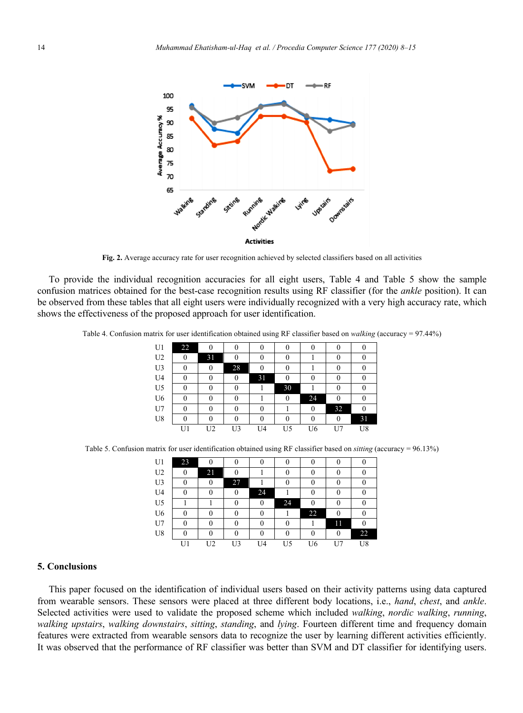

**Fig. 2.** Average accuracy rate for user recognition achieved by selected classifiers based on all activities

To provide the individual recognition accuracies for all eight users, Table 4 and Table 5 show the sample confusion matrices obtained for the best-case recognition results using RF classifier (for the *ankle* position). It can be observed from these tables that all eight users were individually recognized with a very high accuracy rate, which shows the effectiveness of the proposed approach for user identification.

Table 4. Confusion matrix for user identification obtained using RF classifier based on *walking* (accuracy = 97.44%)

| U1             | 22 |    |    |    | 0              |                |    |    |
|----------------|----|----|----|----|----------------|----------------|----|----|
| U <sub>2</sub> |    | 31 |    |    | 0              |                |    |    |
| U3             |    | 0  | 28 |    |                |                |    |    |
| U4             |    |    |    | 31 | 0              |                |    |    |
| U <sub>5</sub> |    |    |    |    | 30             |                |    |    |
| U <sub>6</sub> |    |    |    |    | 0              | 24             |    |    |
| U7             |    | U  |    |    |                |                | 32 |    |
| U8             |    |    |    |    | 0              |                |    | 31 |
|                | U1 | U2 | U3 | U4 | U <sub>5</sub> | U <sub>6</sub> | U7 | U8 |

Table 5. Confusion matrix for user identification obtained using RF classifier based on *sitting* (accuracy = 96.13%)

| U <sub>1</sub> | 23             |                | 0              | 0              |                |                |    |    |
|----------------|----------------|----------------|----------------|----------------|----------------|----------------|----|----|
| U2             |                | 21             |                |                |                |                |    |    |
| U3             |                |                | 27             |                |                |                |    |    |
| U <sub>4</sub> |                |                |                | 24             |                |                |    |    |
| U <sub>5</sub> |                |                |                | 0              | 24             |                |    |    |
| U <sub>6</sub> |                |                |                | 0              |                | 22             |    |    |
| U7             |                | ∩              | 0              | 0              |                |                | 11 |    |
| U8             |                |                |                | 0              |                |                | ∩  | 22 |
|                | U <sub>1</sub> | U <sub>2</sub> | U <sub>3</sub> | U <sub>4</sub> | U <sub>5</sub> | U <sub>6</sub> | U7 | U8 |

# **5. Conclusions**

This paper focused on the identification of individual users based on their activity patterns using data captured from wearable sensors. These sensors were placed at three different body locations, i.e., *hand*, *chest*, and *ankle*. Selected activities were used to validate the proposed scheme which included *walking*, *nordic walking*, *running*, *walking upstairs*, *walking downstairs*, *sitting*, *standing*, and *lying*. Fourteen different time and frequency domain features were extracted from wearable sensors data to recognize the user by learning different activities efficiently. It was observed that the performance of RF classifier was better than SVM and DT classifier for identifying users.